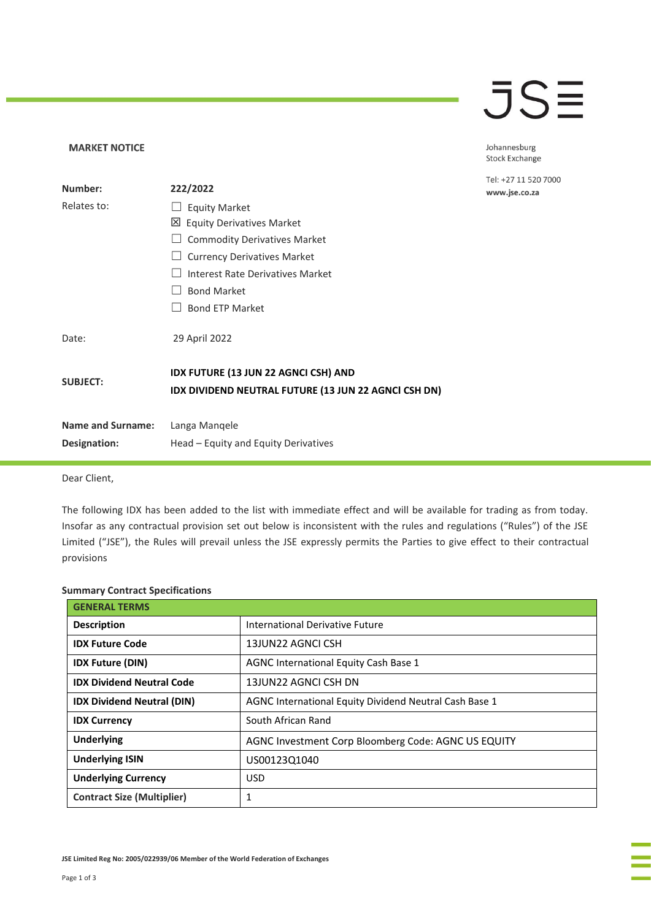## **JSE**

Johannesburg Stock Exchange

el: +27 11 520 7000 www.jse.co.za

| Number:                                  | 222/2022                                                                                     | T<br>N |
|------------------------------------------|----------------------------------------------------------------------------------------------|--------|
| Relates to:                              | <b>Equity Market</b>                                                                         |        |
|                                          | 凶 Equity Derivatives Market                                                                  |        |
|                                          | <b>Commodity Derivatives Market</b>                                                          |        |
|                                          | <b>Currency Derivatives Market</b>                                                           |        |
|                                          | Interest Rate Derivatives Market                                                             |        |
|                                          | <b>Bond Market</b>                                                                           |        |
|                                          | <b>Bond ETP Market</b>                                                                       |        |
| Date:                                    | 29 April 2022                                                                                |        |
| <b>SUBJECT:</b>                          | IDX FUTURE (13 JUN 22 AGNCI CSH) AND<br>IDX DIVIDEND NEUTRAL FUTURE (13 JUN 22 AGNCI CSH DN) |        |
| <b>Name and Surname:</b><br>Designation: | Langa Mangele<br>Head – Equity and Equity Derivatives                                        |        |

Dear Client,

**MARKET NOTICE** 

The following IDX has been added to the list with immediate effect and will be available for trading as from today. Insofar as any contractual provision set out below is inconsistent with the rules and regulations ("Rules") of the JSE Limited ("JSE"), the Rules will prevail unless the JSE expressly permits the Parties to give effect to their contractual provisions

### **Summary Contract Specifications**

| <b>GENERAL TERMS</b>              |                                                        |  |
|-----------------------------------|--------------------------------------------------------|--|
| <b>Description</b>                | International Derivative Future                        |  |
| <b>IDX Future Code</b>            | 13JUN22 AGNCLCSH                                       |  |
| <b>IDX Future (DIN)</b>           | AGNC International Equity Cash Base 1                  |  |
| <b>IDX Dividend Neutral Code</b>  | 13JUN22 AGNCI CSH DN                                   |  |
| <b>IDX Dividend Neutral (DIN)</b> | AGNC International Equity Dividend Neutral Cash Base 1 |  |
| <b>IDX Currency</b>               | South African Rand                                     |  |
| <b>Underlying</b>                 | AGNC Investment Corp Bloomberg Code: AGNC US EQUITY    |  |
| <b>Underlying ISIN</b>            | US00123Q1040                                           |  |
| <b>Underlying Currency</b>        | <b>USD</b>                                             |  |
| <b>Contract Size (Multiplier)</b> | 1                                                      |  |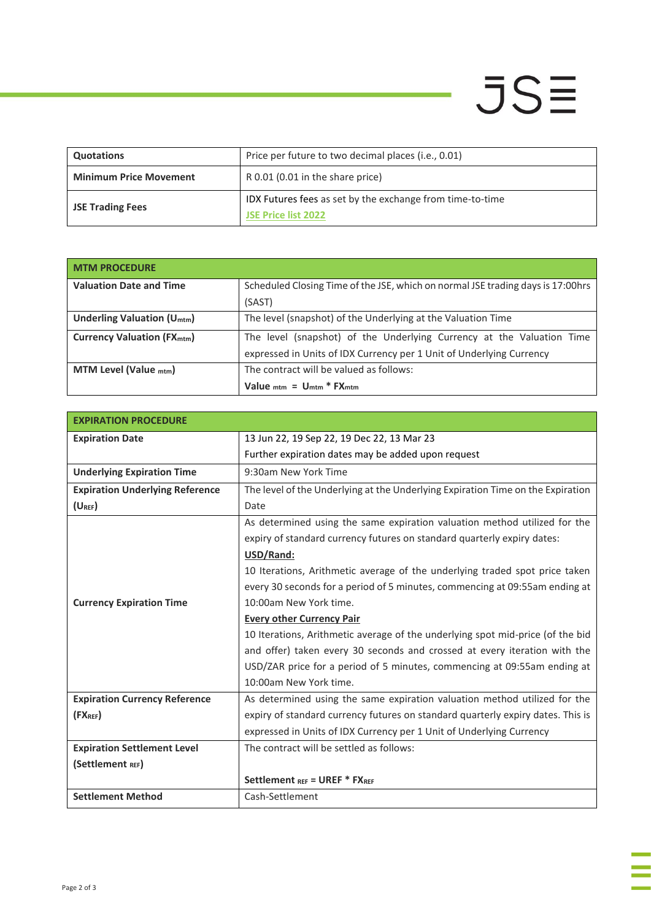# $JSE$

J,

| <b>Quotations</b>             | Price per future to two decimal places (i.e., 0.01)                              |
|-------------------------------|----------------------------------------------------------------------------------|
| <b>Minimum Price Movement</b> | R 0.01 (0.01 in the share price)                                                 |
| <b>JSE Trading Fees</b>       | IDX Futures fees as set by the exchange from time-to-time<br>JSE Price list 2022 |

| <b>MTM PROCEDURE</b>                         |                                                                                  |
|----------------------------------------------|----------------------------------------------------------------------------------|
| <b>Valuation Date and Time</b>               | Scheduled Closing Time of the JSE, which on normal JSE trading days is 17:00 hrs |
|                                              | (SAST)                                                                           |
| <b>Underling Valuation (U<sub>mtm</sub>)</b> | The level (snapshot) of the Underlying at the Valuation Time                     |
| <b>Currency Valuation (FX<sub>mtm</sub>)</b> | The level (snapshot) of the Underlying Currency at the Valuation Time            |
|                                              | expressed in Units of IDX Currency per 1 Unit of Underlying Currency             |
| MTM Level (Value $_{\text{mtm}}$ )           | The contract will be valued as follows:                                          |
|                                              | Value $_{\text{mtm}}$ = $\frac{U_{\text{mtm}}}{T}$ FX $_{\text{mtm}}$            |

| <b>EXPIRATION PROCEDURE</b>            |                                                                                 |  |
|----------------------------------------|---------------------------------------------------------------------------------|--|
| <b>Expiration Date</b>                 | 13 Jun 22, 19 Sep 22, 19 Dec 22, 13 Mar 23                                      |  |
|                                        | Further expiration dates may be added upon request                              |  |
| <b>Underlying Expiration Time</b>      | 9:30am New York Time                                                            |  |
| <b>Expiration Underlying Reference</b> | The level of the Underlying at the Underlying Expiration Time on the Expiration |  |
| $(U_{REF})$                            | Date                                                                            |  |
|                                        | As determined using the same expiration valuation method utilized for the       |  |
|                                        | expiry of standard currency futures on standard quarterly expiry dates:         |  |
|                                        | USD/Rand:                                                                       |  |
|                                        | 10 Iterations, Arithmetic average of the underlying traded spot price taken     |  |
|                                        | every 30 seconds for a period of 5 minutes, commencing at 09:55am ending at     |  |
| <b>Currency Expiration Time</b>        | 10:00am New York time.                                                          |  |
|                                        | <b>Every other Currency Pair</b>                                                |  |
|                                        | 10 Iterations, Arithmetic average of the underlying spot mid-price (of the bid  |  |
|                                        | and offer) taken every 30 seconds and crossed at every iteration with the       |  |
|                                        | USD/ZAR price for a period of 5 minutes, commencing at 09:55am ending at        |  |
|                                        | 10:00am New York time.                                                          |  |
| <b>Expiration Currency Reference</b>   | As determined using the same expiration valuation method utilized for the       |  |
| (FX <sub>REF</sub> )                   | expiry of standard currency futures on standard quarterly expiry dates. This is |  |
|                                        | expressed in Units of IDX Currency per 1 Unit of Underlying Currency            |  |
| <b>Expiration Settlement Level</b>     | The contract will be settled as follows:                                        |  |
| (Settlement REF)                       |                                                                                 |  |
|                                        | Settlement REF = UREF * FXREF                                                   |  |
| <b>Settlement Method</b>               | Cash-Settlement                                                                 |  |